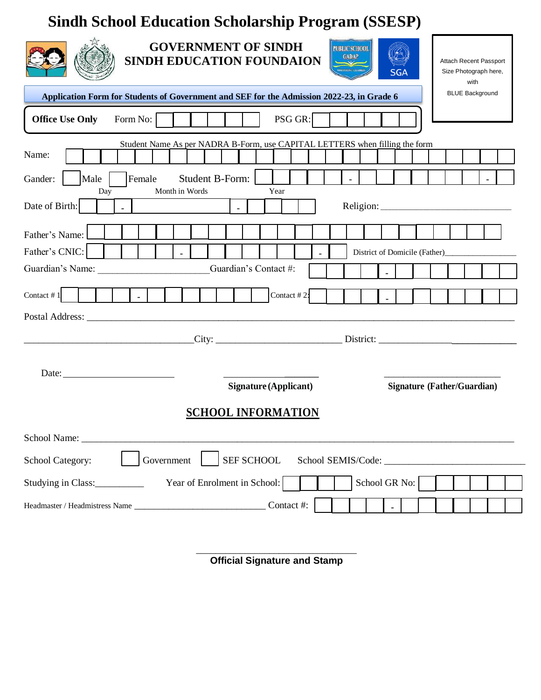# **Sindh School Education Scholarship Program (SSESP)**

| <b>GOVERNMENT OF SINDH</b><br>PUBLIC SCHOOL<br><b>GADAP</b><br>SINDH EDUCATION FOUNDAION<br>Attach Recent Passport<br><b>RTURING TEST</b><br><b>SGA</b><br>Size Photograph here,<br>with |  |  |  |  |
|------------------------------------------------------------------------------------------------------------------------------------------------------------------------------------------|--|--|--|--|
| <b>BLUE Background</b><br>Application Form for Students of Government and SEF for the Admission 2022-23, in Grade 6                                                                      |  |  |  |  |
| <b>Office Use Only</b><br>PSG GR:<br>Form No:                                                                                                                                            |  |  |  |  |
| Student Name As per NADRA B-Form, use CAPITAL LETTERS when filling the form<br>Name:                                                                                                     |  |  |  |  |
| Student B-Form:<br>Female<br>Gander:<br>Male<br>Month in Words<br>Year<br>Day                                                                                                            |  |  |  |  |
| Date of Birth:<br>$\text{Religion:}\n \begin{array}{c}\n \begin{array}{c}\n \begin{array}{c}\n \begin{array}{c}\n \end{array}\n \end{array}\n \end{array}$                               |  |  |  |  |
| Father's Name:                                                                                                                                                                           |  |  |  |  |
| Father's CNIC:<br>$\Delta$                                                                                                                                                               |  |  |  |  |
| Guardian's Name:<br>Guardian's Contact #:                                                                                                                                                |  |  |  |  |
| Contact #1<br>Contact #2:<br>$\sim$                                                                                                                                                      |  |  |  |  |
| Postal Address:                                                                                                                                                                          |  |  |  |  |
| <u> 1980 - Johann Barbara, martin amerikan basar dan berasal dalam basar dalam basar dalam basar dalam basar dala</u>                                                                    |  |  |  |  |
| Date: $\overline{\phantom{a}}$<br>Signature (Applicant)<br><b>Signature (Father/Guardian)</b>                                                                                            |  |  |  |  |
| <b>SCHOOL INFORMATION</b>                                                                                                                                                                |  |  |  |  |
| School Name:                                                                                                                                                                             |  |  |  |  |
| SEF SCHOOL<br>School Category:<br>Government                                                                                                                                             |  |  |  |  |
| School GR No:<br>Year of Enrolment in School:<br>Studying in Class:                                                                                                                      |  |  |  |  |
| Contact #:                                                                                                                                                                               |  |  |  |  |

\_\_\_\_\_\_\_\_\_\_\_\_\_\_\_\_\_\_\_\_\_\_\_\_\_\_\_\_\_\_\_\_\_ **Official Signature and Stamp**